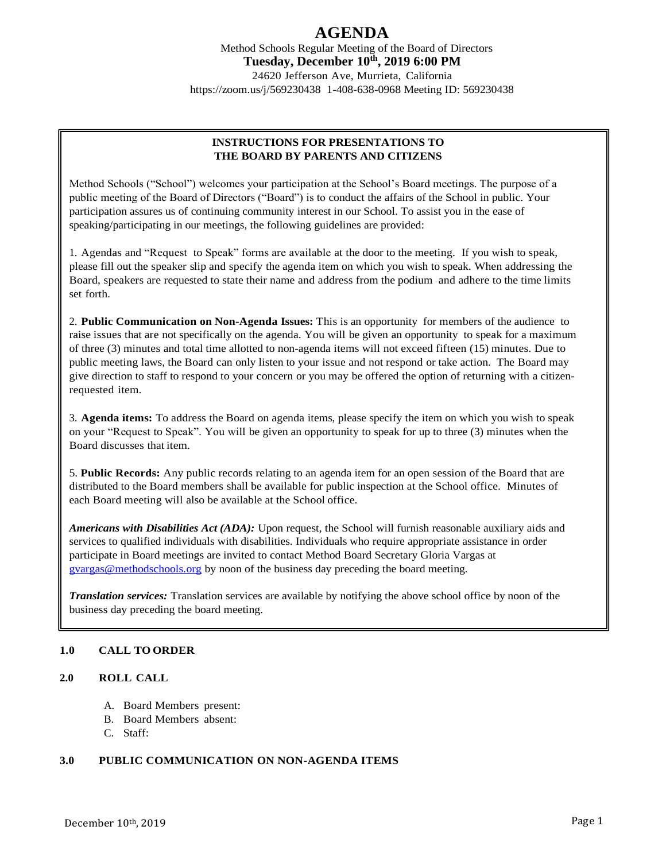# **AGENDA**

Method Schools Regular Meeting of the Board of Directors **Tuesday, December 10th, 2019 6:00 PM** 24620 Jefferson Ave, Murrieta, California https://zoom.us/j/569230438 1-408-638-0968 Meeting ID: 569230438

## **INSTRUCTIONS FOR PRESENTATIONS TO THE BOARD BY PARENTS AND CITIZENS**

Method Schools ("School") welcomes your participation at the School's Board meetings. The purpose of a public meeting of the Board of Directors ("Board") is to conduct the affairs of the School in public. Your participation assures us of continuing community interest in our School. To assist you in the ease of speaking/participating in our meetings, the following guidelines are provided:

1. Agendas and "Request to Speak" forms are available at the door to the meeting. If you wish to speak, please fill out the speaker slip and specify the agenda item on which you wish to speak. When addressing the Board, speakers are requested to state their name and address from the podium and adhere to the time limits set forth.

2. **Public Communication on Non-Agenda Issues:** This is an opportunity for members of the audience to raise issues that are not specifically on the agenda. You will be given an opportunity to speak for a maximum of three (3) minutes and total time allotted to non-agenda items will not exceed fifteen (15) minutes. Due to public meeting laws, the Board can only listen to your issue and not respond or take action. The Board may give direction to staff to respond to your concern or you may be offered the option of returning with a citizenrequested item.

3. **Agenda items:** To address the Board on agenda items, please specify the item on which you wish to speak on your "Request to Speak". You will be given an opportunity to speak for up to three (3) minutes when the Board discusses that item.

5. **Public Records:** Any public records relating to an agenda item for an open session of the Board that are distributed to the Board members shall be available for public inspection at the School office. Minutes of each Board meeting will also be available at the School office.

*Americans with Disabilities Act (ADA):* Upon request, the School will furnish reasonable auxiliary aids and services to qualified individuals with disabilities. Individuals who require appropriate assistance in order participate in Board meetings are invited to contact Method Board Secretary Gloria Vargas at [gvargas@methodschools.org](mailto:gvargas@methodschools.org) by noon of the business day preceding the board meeting.

*Translation services:* Translation services are available by notifying the above school office by noon of the business day preceding the board meeting.

## **1.0 CALL TO ORDER**

#### **2.0 ROLL CALL**

- A. Board Members present:
- B. Board Members absent:
- C. Staff:

#### **3.0 PUBLIC COMMUNICATION ON NON-AGENDA ITEMS**